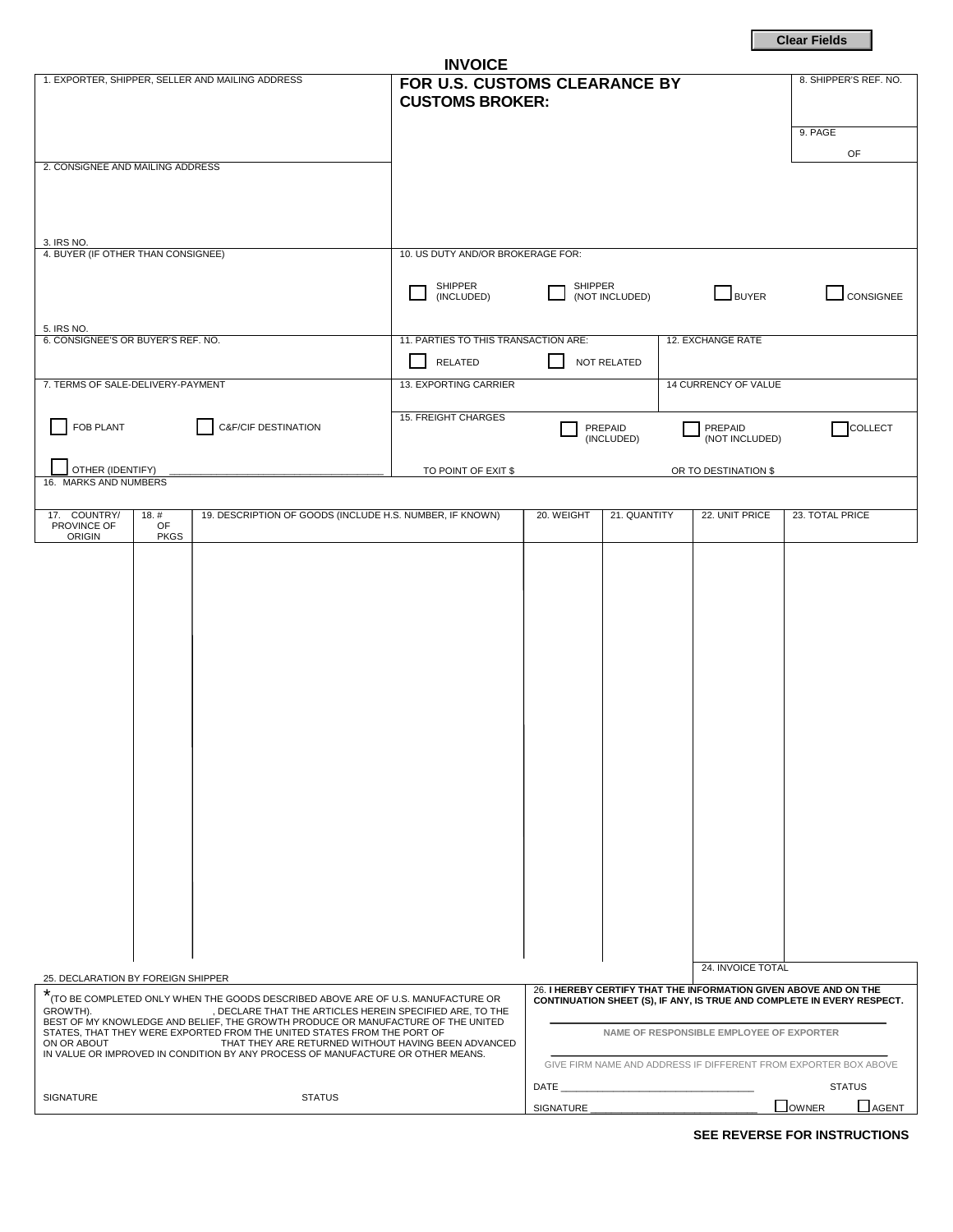**Clear Fields**

| <b>INVOICE</b>                                                                                                                                                                                                                                                                                                                                                                                                                                                                       |                                                                                     |                                                                                                                                                                                        |                |                      |                       |
|--------------------------------------------------------------------------------------------------------------------------------------------------------------------------------------------------------------------------------------------------------------------------------------------------------------------------------------------------------------------------------------------------------------------------------------------------------------------------------------|-------------------------------------------------------------------------------------|----------------------------------------------------------------------------------------------------------------------------------------------------------------------------------------|----------------|----------------------|-----------------------|
| 1. EXPORTER, SHIPPER, SELLER AND MAILING ADDRESS                                                                                                                                                                                                                                                                                                                                                                                                                                     | FOR U.S. CUSTOMS CLEARANCE BY<br><b>CUSTOMS BROKER:</b>                             |                                                                                                                                                                                        |                |                      | 8. SHIPPER'S REF. NO. |
|                                                                                                                                                                                                                                                                                                                                                                                                                                                                                      |                                                                                     |                                                                                                                                                                                        |                |                      | 9. PAGE               |
|                                                                                                                                                                                                                                                                                                                                                                                                                                                                                      |                                                                                     |                                                                                                                                                                                        |                |                      | OF                    |
| 2. CONSIGNEE AND MAILING ADDRESS                                                                                                                                                                                                                                                                                                                                                                                                                                                     |                                                                                     |                                                                                                                                                                                        |                |                      |                       |
|                                                                                                                                                                                                                                                                                                                                                                                                                                                                                      |                                                                                     |                                                                                                                                                                                        |                |                      |                       |
|                                                                                                                                                                                                                                                                                                                                                                                                                                                                                      |                                                                                     |                                                                                                                                                                                        |                |                      |                       |
| 3. IRS NO.<br>4. BUYER (IF OTHER THAN CONSIGNEE)                                                                                                                                                                                                                                                                                                                                                                                                                                     | 10. US DUTY AND/OR BROKERAGE FOR:                                                   |                                                                                                                                                                                        |                |                      |                       |
|                                                                                                                                                                                                                                                                                                                                                                                                                                                                                      | SHIPPER<br>SHIPPER                                                                  |                                                                                                                                                                                        |                |                      |                       |
|                                                                                                                                                                                                                                                                                                                                                                                                                                                                                      | (INCLUDED)                                                                          |                                                                                                                                                                                        | (NOT INCLUDED) | BUYER                | <b>CONSIGNEE</b>      |
| 5. IRS NO.                                                                                                                                                                                                                                                                                                                                                                                                                                                                           |                                                                                     |                                                                                                                                                                                        |                |                      |                       |
| 6. CONSIGNEE'S OR BUYER'S REF. NO.                                                                                                                                                                                                                                                                                                                                                                                                                                                   | 11. PARTIES TO THIS TRANSACTION ARE:<br>12. EXCHANGE RATE<br>RELATED<br>NOT RELATED |                                                                                                                                                                                        |                |                      |                       |
| 7. TERMS OF SALE-DELIVERY-PAYMENT                                                                                                                                                                                                                                                                                                                                                                                                                                                    | 13. EXPORTING CARRIER<br>14 CURRENCY OF VALUE                                       |                                                                                                                                                                                        |                |                      |                       |
|                                                                                                                                                                                                                                                                                                                                                                                                                                                                                      |                                                                                     |                                                                                                                                                                                        |                |                      |                       |
| FOB PLANT<br><b>C&amp;F/CIF DESTINATION</b>                                                                                                                                                                                                                                                                                                                                                                                                                                          | 15. FREIGHT CHARGES                                                                 | PREPAID<br>PREPAID<br>(INCLUDED)<br>(NOT INCLUDED)                                                                                                                                     |                |                      | <b>COLLECT</b>        |
|                                                                                                                                                                                                                                                                                                                                                                                                                                                                                      |                                                                                     |                                                                                                                                                                                        |                |                      |                       |
| OTHER (IDENTIFY)<br>TO POINT OF EXIT \$<br>16. MARKS AND NUMBERS                                                                                                                                                                                                                                                                                                                                                                                                                     |                                                                                     |                                                                                                                                                                                        |                | OR TO DESTINATION \$ |                       |
| 19. DESCRIPTION OF GOODS (INCLUDE H.S. NUMBER, IF KNOWN)<br>17. COUNTRY/<br>18.#                                                                                                                                                                                                                                                                                                                                                                                                     |                                                                                     | 20. WEIGHT                                                                                                                                                                             | 21. QUANTITY   | 22. UNIT PRICE       | 23. TOTAL PRICE       |
| OF<br>PROVINCE OF<br><b>ORIGIN</b><br><b>PKGS</b>                                                                                                                                                                                                                                                                                                                                                                                                                                    |                                                                                     |                                                                                                                                                                                        |                |                      |                       |
|                                                                                                                                                                                                                                                                                                                                                                                                                                                                                      |                                                                                     |                                                                                                                                                                                        |                |                      |                       |
| 25. DECLARATION BY FOREIGN SHIPPER                                                                                                                                                                                                                                                                                                                                                                                                                                                   |                                                                                     |                                                                                                                                                                                        |                | 24. INVOICE TOTAL    |                       |
| *<br>(TO BE COMPLETED ONLY WHEN THE GOODS DESCRIBED ABOVE ARE OF U.S. MANUFACTURE OR<br>GROWTH).<br>, DECLARE THAT THE ARTICLES HEREIN SPECIFIED ARE, TO THE<br>BEST OF MY KNOWLEDGE AND BELIEF, THE GROWTH PRODUCE OR MANUFACTURE OF THE UNITED<br>STATES, THAT THEY WERE EXPORTED FROM THE UNITED STATES FROM THE PORT OF<br>THAT THEY ARE RETURNED WITHOUT HAVING BEEN ADVANCED<br>ON OR ABOUT<br>IN VALUE OR IMPROVED IN CONDITION BY ANY PROCESS OF MANUFACTURE OR OTHER MEANS. |                                                                                     | 26. I HEREBY CERTIFY THAT THE INFORMATION GIVEN ABOVE AND ON THE<br>CONTINUATION SHEET (S), IF ANY, IS TRUE AND COMPLETE IN EVERY RESPECT.<br>NAME OF RESPONSIBLE EMPLOYEE OF EXPORTER |                |                      |                       |
|                                                                                                                                                                                                                                                                                                                                                                                                                                                                                      |                                                                                     | GIVE FIRM NAME AND ADDRESS IF DIFFERENT FROM EXPORTER BOX ABOVE<br>DATE                                                                                                                |                |                      | <b>STATUS</b>         |
| SIGNATURE<br><b>STATUS</b>                                                                                                                                                                                                                                                                                                                                                                                                                                                           |                                                                                     | SIGNATURE                                                                                                                                                                              |                |                      | OWNER<br>AGENT        |